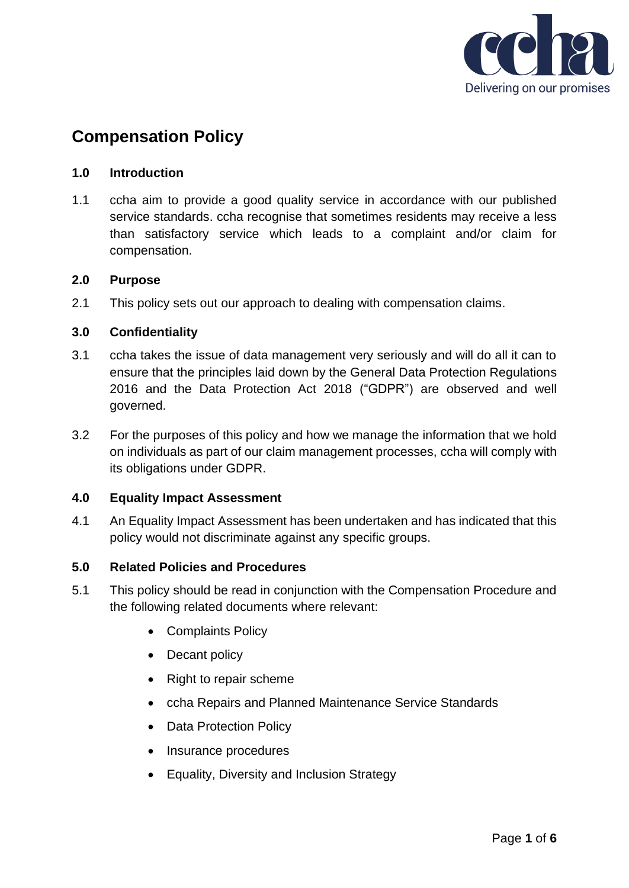

# **Compensation Policy**

# **1.0 Introduction**

1.1 ccha aim to provide a good quality service in accordance with our published service standards. ccha recognise that sometimes residents may receive a less than satisfactory service which leads to a complaint and/or claim for compensation.

## **2.0 Purpose**

2.1 This policy sets out our approach to dealing with compensation claims.

## **3.0 Confidentiality**

- 3.1 ccha takes the issue of data management very seriously and will do all it can to ensure that the principles laid down by the General Data Protection Regulations 2016 and the Data Protection Act 2018 ("GDPR") are observed and well governed.
- 3.2 For the purposes of this policy and how we manage the information that we hold on individuals as part of our claim management processes, ccha will comply with its obligations under GDPR.

#### **4.0 Equality Impact Assessment**

4.1 An Equality Impact Assessment has been undertaken and has indicated that this policy would not discriminate against any specific groups.

# **5.0 Related Policies and Procedures**

- 5.1 This policy should be read in conjunction with the Compensation Procedure and the following related documents where relevant:
	- Complaints Policy
	- Decant policy
	- Right to repair scheme
	- ccha Repairs and Planned Maintenance Service Standards
	- Data Protection Policy
	- Insurance procedures
	- Equality, Diversity and Inclusion Strategy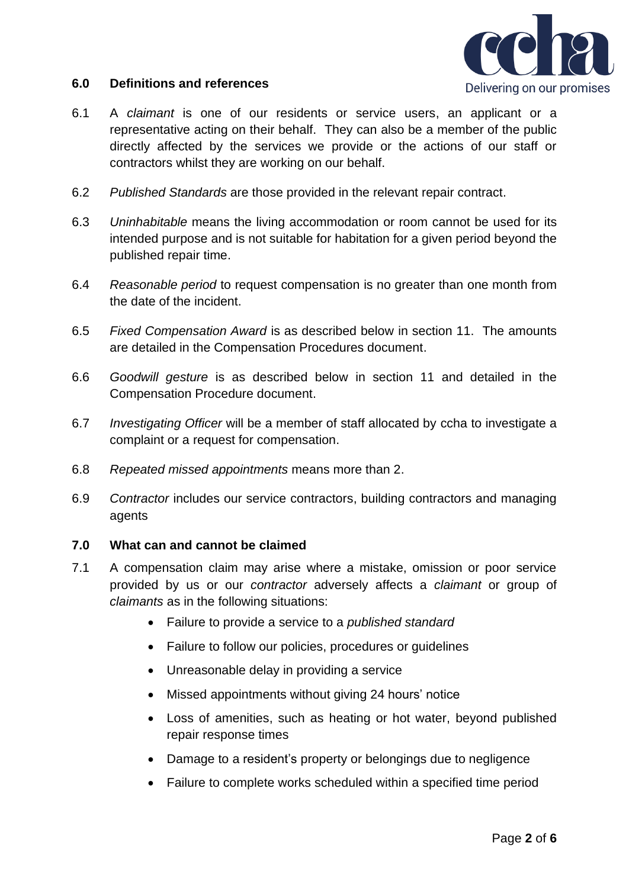

## **6.0 Definitions and references**

- 6.1 A *claimant* is one of our residents or service users, an applicant or a representative acting on their behalf. They can also be a member of the public directly affected by the services we provide or the actions of our staff or contractors whilst they are working on our behalf.
- 6.2 *Published Standards* are those provided in the relevant repair contract.
- 6.3 *Uninhabitable* means the living accommodation or room cannot be used for its intended purpose and is not suitable for habitation for a given period beyond the published repair time.
- 6.4 *Reasonable period* to request compensation is no greater than one month from the date of the incident.
- 6.5 *Fixed Compensation Award* is as described below in section 11. The amounts are detailed in the Compensation Procedures document.
- 6.6 *Goodwill gesture* is as described below in section 11 and detailed in the Compensation Procedure document.
- 6.7 *Investigating Officer* will be a member of staff allocated by ccha to investigate a complaint or a request for compensation.
- 6.8 *Repeated missed appointments* means more than 2.
- 6.9 *Contractor* includes our service contractors, building contractors and managing agents

# **7.0 What can and cannot be claimed**

- 7.1 A compensation claim may arise where a mistake, omission or poor service provided by us or our *contractor* adversely affects a *claimant* or group of *claimants* as in the following situations:
	- Failure to provide a service to a *published standard*
	- Failure to follow our policies, procedures or guidelines
	- Unreasonable delay in providing a service
	- Missed appointments without giving 24 hours' notice
	- Loss of amenities, such as heating or hot water, beyond published repair response times
	- Damage to a resident's property or belongings due to negligence
	- Failure to complete works scheduled within a specified time period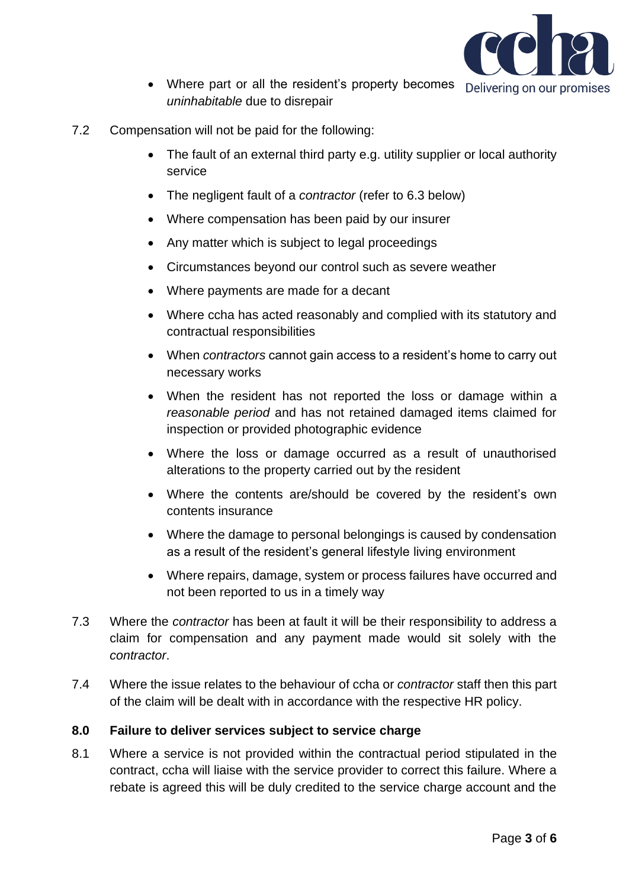

- Where part or all the resident's property becomes Delivering on our promises *uninhabitable* due to disrepair
- 7.2 Compensation will not be paid for the following:
	- The fault of an external third party e.g. utility supplier or local authority service
	- The negligent fault of a *contractor* (refer to 6.3 below)
	- Where compensation has been paid by our insurer
	- Any matter which is subject to legal proceedings
	- Circumstances beyond our control such as severe weather
	- Where payments are made for a decant
	- Where ccha has acted reasonably and complied with its statutory and contractual responsibilities
	- When *contractors* cannot gain access to a resident's home to carry out necessary works
	- When the resident has not reported the loss or damage within a *reasonable period* and has not retained damaged items claimed for inspection or provided photographic evidence
	- Where the loss or damage occurred as a result of unauthorised alterations to the property carried out by the resident
	- Where the contents are/should be covered by the resident's own contents insurance
	- Where the damage to personal belongings is caused by condensation as a result of the resident's general lifestyle living environment
	- Where repairs, damage, system or process failures have occurred and not been reported to us in a timely way
- 7.3 Where the *contractor* has been at fault it will be their responsibility to address a claim for compensation and any payment made would sit solely with the *contractor*.
- 7.4 Where the issue relates to the behaviour of ccha or *contractor* staff then this part of the claim will be dealt with in accordance with the respective HR policy.

# **8.0 Failure to deliver services subject to service charge**

8.1 Where a service is not provided within the contractual period stipulated in the contract, ccha will liaise with the service provider to correct this failure. Where a rebate is agreed this will be duly credited to the service charge account and the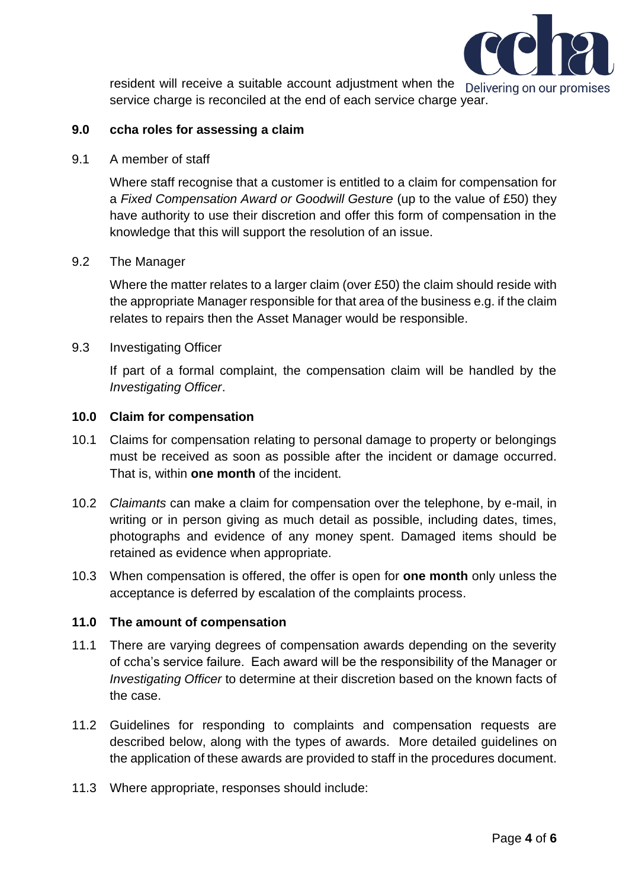

resident will receive a suitable account adjustment when the Delivering on our promises service charge is reconciled at the end of each service charge year.

## **9.0 ccha roles for assessing a claim**

9.1 A member of staff

Where staff recognise that a customer is entitled to a claim for compensation for a *Fixed Compensation Award or Goodwill Gesture* (up to the value of £50) they have authority to use their discretion and offer this form of compensation in the knowledge that this will support the resolution of an issue.

## 9.2 The Manager

Where the matter relates to a larger claim (over £50) the claim should reside with the appropriate Manager responsible for that area of the business e.g. if the claim relates to repairs then the Asset Manager would be responsible.

#### 9.3 Investigating Officer

If part of a formal complaint, the compensation claim will be handled by the *Investigating Officer*.

## **10.0 Claim for compensation**

- 10.1 Claims for compensation relating to personal damage to property or belongings must be received as soon as possible after the incident or damage occurred. That is, within **one month** of the incident.
- 10.2 *Claimants* can make a claim for compensation over the telephone, by e-mail, in writing or in person giving as much detail as possible, including dates, times, photographs and evidence of any money spent. Damaged items should be retained as evidence when appropriate.
- 10.3 When compensation is offered, the offer is open for **one month** only unless the acceptance is deferred by escalation of the complaints process.

# **11.0 The amount of compensation**

- 11.1 There are varying degrees of compensation awards depending on the severity of ccha's service failure. Each award will be the responsibility of the Manager or *Investigating Officer* to determine at their discretion based on the known facts of the case.
- 11.2 Guidelines for responding to complaints and compensation requests are described below, along with the types of awards. More detailed guidelines on the application of these awards are provided to staff in the procedures document.
- 11.3 Where appropriate, responses should include: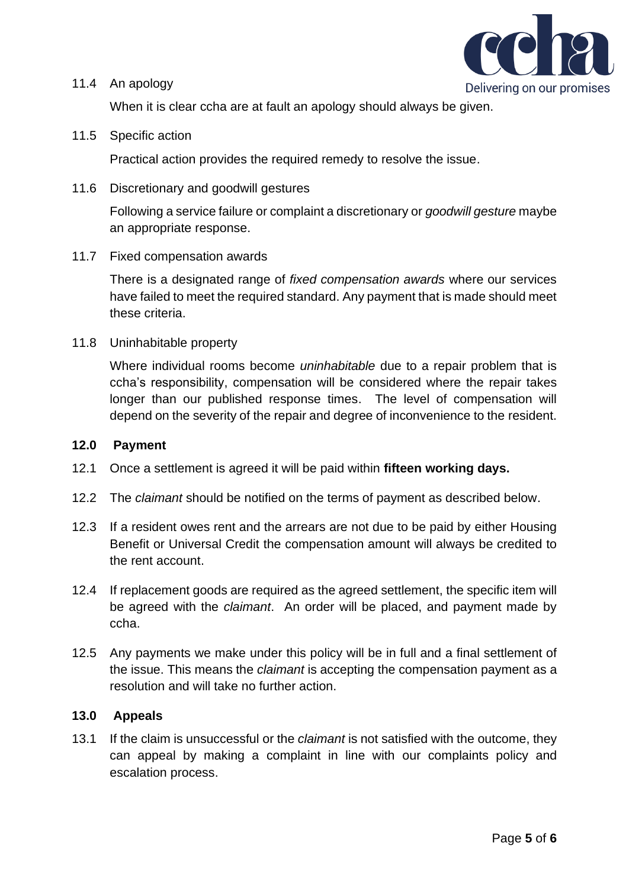

#### 11.4 An apology

When it is clear ccha are at fault an apology should always be given.

11.5 Specific action

Practical action provides the required remedy to resolve the issue.

11.6 Discretionary and goodwill gestures

Following a service failure or complaint a discretionary or *goodwill gesture* maybe an appropriate response.

11.7 Fixed compensation awards

There is a designated range of *fixed compensation awards* where our services have failed to meet the required standard. Any payment that is made should meet these criteria.

11.8 Uninhabitable property

Where individual rooms become *uninhabitable* due to a repair problem that is ccha's responsibility, compensation will be considered where the repair takes longer than our published response times. The level of compensation will depend on the severity of the repair and degree of inconvenience to the resident.

## **12.0 Payment**

- 12.1 Once a settlement is agreed it will be paid within **fifteen working days.**
- 12.2 The *claimant* should be notified on the terms of payment as described below.
- 12.3 If a resident owes rent and the arrears are not due to be paid by either Housing Benefit or Universal Credit the compensation amount will always be credited to the rent account.
- 12.4 If replacement goods are required as the agreed settlement, the specific item will be agreed with the *claimant*. An order will be placed, and payment made by ccha.
- 12.5 Any payments we make under this policy will be in full and a final settlement of the issue. This means the *claimant* is accepting the compensation payment as a resolution and will take no further action.

#### **13.0 Appeals**

13.1 If the claim is unsuccessful or the *claimant* is not satisfied with the outcome, they can appeal by making a complaint in line with our complaints policy and escalation process.